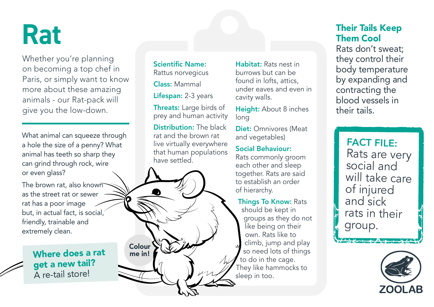# **Rat**

Whether you're planning on becoming a top chef in Paris, or simply want to know more about these amazing animals - our Rat-pack will give you the low-down.

What animal can squeeze through a hole the size of a penny? What animal has teeth so sharp they can grind through rock, wire or even glass?

The brown rat, also known as the street rat or sewer rat has a poor image but, in actual fact, is social, friendly, trainable and extremely clean.

> Where does a rat get a new tail? A re-tail store!

Scientific Name: Rattus norvegicus Class: Mammal

Lifespan: 2-3 years

Threats: Large birds of prey and human activity

Distribution: The black rat and the brown rat live virtually everywhere that human populations have settled.

Colour me in!

Habitat: Rats nest in burrows but can be found in lofts, attics, under eaves and even in cavity walls.

Height: About 8 inches long

Diet: Omnivores (Meat and vegetables)

#### Social Behaviour:

Rats commonly groom each other and sleep together. Rats are said to establish an order of hierarchy.

#### Things To Know: Rats

should be kept in groups as they do not like being on their own. Rats like to climb, jump and play so need lots of things to do in the cage. They like hammocks to sleep in too.

### Their Tails Keep Them Cool

Rats don't sweat; they control their body temperature by expanding and contracting the blood vessels in their tails.

FACT FILE: Rats are very social and will take care of injured and sick rats in their group.

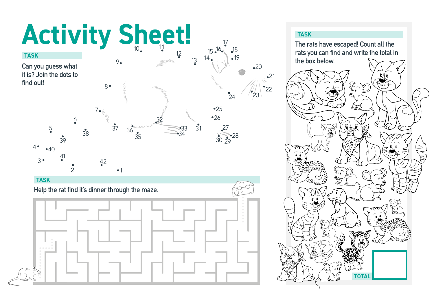# Activity Sheet!

**Can you guess what it is? Join the dots to find out!**



#### **TASK**

**Help the rat find it's dinner through the maze.** 



 $^{\bullet}22$ 

**The rats have escaped! Count all the rats you can find and write the total in the box below.**